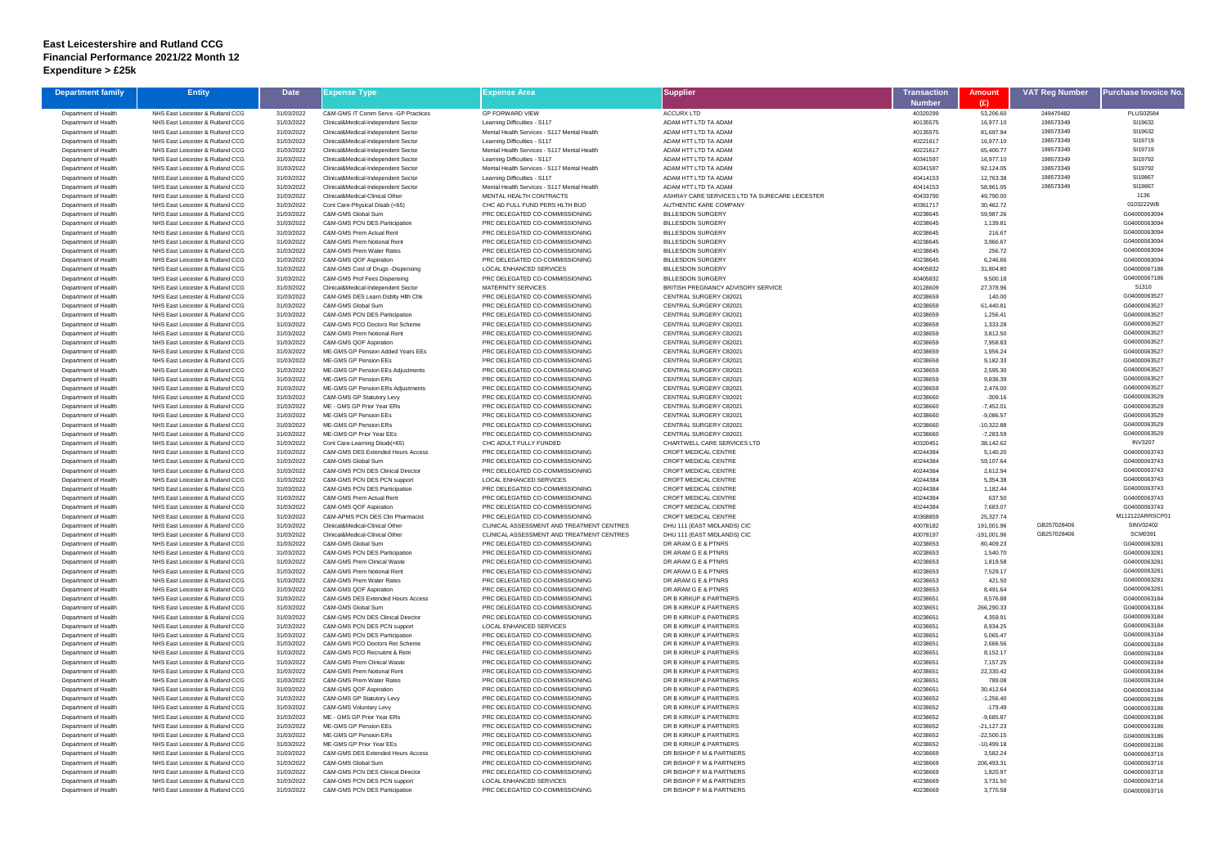## **East Leicestershire and Rutland CCG Financial Performance 2021/22 Month 12 Expenditure > £25k**

| <b>Department family</b>                     | <b>Entity</b>                                                        | <b>Date</b>              | Expense Type                                                               | Expense Area                                                                | <b>Supplier</b>                                      | Transaction               | <b>Amount</b>               | <b>VAT Reg Number</b>  | <b>Purchase Invoice No</b>   |
|----------------------------------------------|----------------------------------------------------------------------|--------------------------|----------------------------------------------------------------------------|-----------------------------------------------------------------------------|------------------------------------------------------|---------------------------|-----------------------------|------------------------|------------------------------|
| Department of Health                         | NHS East Leicester & Rutland CCG                                     | 31/03/2022               | C&M-GMS IT Comm Servs - GP Practices                                       | <b>GP FORWARD VIEW</b>                                                      | <b>ACCURX LTD</b>                                    | <b>Number</b><br>40320299 | (E)<br>53,206.60            | 249470482              | <b>PLUS02584</b>             |
| Department of Health                         | NHS East Leicester & Rutland CCG                                     | 31/03/2022               | Clinical&Medical-Independent Sector                                        | Learning Difficulties - S117                                                | ADAM HTT LTD TA ADAM                                 | 40135575                  | 16,977.10                   | 198573349              | SI19632                      |
| Department of Health                         | NHS East Leicester & Rutland CCG                                     | 31/03/2022               | Clinical&Medical-Independent Sector                                        | Mental Health Services - S117 Mental Health                                 | ADAM HTT LTD TA ADAM                                 | 40135575                  | 81,697.94                   | 198573349              | SI19632                      |
| Department of Health                         | NHS East Leicester & Rutland CCG                                     | 31/03/2022               | Clinical&Medical-Independent Sector                                        | Learning Difficulties - S117                                                | ADAM HTT LTD TA ADAM                                 | 40221617                  | 16,977.10                   | 198573349              | SI19719                      |
| Department of Health                         | NHS East Leicester & Rutland CCG                                     | 31/03/2022               | Clinical&Medical-Independent Sector                                        | Mental Health Services - S117 Mental Health                                 | ADAM HTT LTD TA ADAM                                 | 40221617                  | 65,400.77                   | 198573349              | SI19719                      |
| Department of Health                         | NHS East Leicester & Rutland CCG                                     | 31/03/2022               | Clinical&Medical-Independent Sector                                        | Learning Difficulties - S117                                                | ADAM HTT LTD TA ADAM                                 | 40341597                  | 16,977.10                   | 198573349<br>198573349 | SI19792<br>SI19792           |
| Department of Health<br>Department of Health | NHS East Leicester & Rutland CCG<br>NHS East Leicester & Rutland CCG | 31/03/2022<br>31/03/2022 | Clinical&Medical-Independent Sector<br>Clinical&Medical-Independent Sector | Mental Health Services - S117 Mental Health<br>Learning Difficulties - S117 | ADAM HTT LTD TA ADAM<br>ADAM HTT LTD TA ADAM         | 40341597<br>40414153      | 92,124.05<br>12,763.38      | 198573349              | SI19867                      |
| Department of Health                         | NHS East Leicester & Rutland CCG                                     | 31/03/2022               | Clinical&Medical-Independent Sector                                        | Mental Health Services - S117 Mental Health                                 | ADAM HTT LTD TA ADAM                                 | 40414153                  | 58,961.05                   | 198573349              | SI19867                      |
| Department of Health                         | NHS East Leicester & Rutland CCG                                     | 31/03/2022               | Clinical&Medical-Clinical Other                                            | MENTAL HEALTH CONTRACTS                                                     | ASHRAY CARE SERVICES LTD TA SURECARE LEICESTER       | 40433790                  | 49,790.00                   |                        | 1136                         |
| Department of Health                         | NHS East Leicester & Rutland CCG                                     | 31/03/2022               | Cont Care-Physical Disab (<65)                                             | CHC AD FULL FUND PERS HLTH BUD                                              | AUTHENTIC KARE COMPANY                               | 40361717                  | 30,462.72                   |                        | 0103222WB                    |
| Department of Health                         | NHS East Leicester & Rutland CCG                                     | 31/03/2022               | C&M-GMS Global Sum                                                         | PRC DELEGATED CO-COMMISSIONING                                              | <b>BILLESDON SURGERY</b>                             | 40238645                  | 59,987.26                   |                        | G04000063094                 |
| Department of Health                         | NHS East Leicester & Rutland CCG                                     | 31/03/2022               | C&M-GMS PCN DES Participation                                              | PRC DELEGATED CO-COMMISSIONING                                              | <b>BILLESDON SURGERY</b>                             | 40238645                  | 1,139.81                    |                        | G04000063094                 |
| Department of Health                         | NHS East Leicester & Rutland CCG                                     | 31/03/2022               | C&M-GMS Prem Actual Rent                                                   | PRC DELEGATED CO-COMMISSIONING                                              | <b>BILLESDON SURGERY</b>                             | 40238645                  | 216.67                      |                        | G04000063094<br>G04000063094 |
| Department of Health<br>Department of Health | NHS East Leicester & Rutland CCG<br>NHS East Leicester & Rutland CCG | 31/03/2022<br>31/03/2022 | C&M-GMS Prem Notional Rent<br>C&M-GMS Prem Water Rates                     | PRC DELEGATED CO-COMMISSIONING<br>PRC DELEGATED CO-COMMISSIONING            | <b>BILLESDON SURGERY</b><br><b>BILLESDON SURGERY</b> | 40238645<br>40238645      | 3,966.67<br>256.72          |                        | G04000063094                 |
| Department of Health                         | NHS East Leicester & Rutland CCG                                     | 31/03/2022               | C&M-GMS QOF Aspiration                                                     | PRC DELEGATED CO-COMMISSIONING                                              | <b>BILLESDON SURGERY</b>                             | 40238645                  | 6,246.66                    |                        | G04000063094                 |
| Department of Health                         | NHS East Leicester & Rutland CCG                                     | 31/03/2022               | C&M-GMS Cost of Drugs -Dispensing                                          | <b>LOCAL ENHANCED SERVICES</b>                                              | <b>BILLESDON SURGERY</b>                             | 40405832                  | 31,804.80                   |                        | G04000067186                 |
| Department of Health                         | NHS East Leicester & Rutland CCG                                     | 31/03/2022               | C&M-GMS Prof Fees Dispensing                                               | PRC DELEGATED CO-COMMISSIONING                                              | <b>BILLESDON SURGERY</b>                             | 40405832                  | 9,500.18                    |                        | G04000067186                 |
| Department of Health                         | NHS East Leicester & Rutland CCG                                     | 31/03/2022               | Clinical&Medical-Independent Sector                                        | <b>MATERNITY SERVICES</b>                                                   | BRITISH PREGNANCY ADVISORY SERVICE                   | 40128609                  | 27,378.96                   |                        | 51310                        |
| Department of Health                         | NHS East Leicester & Rutland CCG                                     | 31/03/2022               | C&M-GMS DES Learn Dsblty Hith Chk                                          | PRC DELEGATED CO-COMMISSIONING                                              | CENTRAL SURGERY C82021                               | 40238659                  | 140.00                      |                        | G04000063527                 |
| Department of Health                         | NHS East Leicester & Rutland CCG                                     | 31/03/2022               | C&M-GMS Global Sum                                                         | PRC DELEGATED CO-COMMISSIONING                                              | CENTRAL SURGERY C82021                               | 40238659                  | 61,440.81                   |                        | G04000063527                 |
| Department of Health                         | NHS East Leicester & Rutland CCG                                     | 31/03/2022               | C&M-GMS PCN DES Participation                                              | PRC DELEGATED CO-COMMISSIONING                                              | CENTRAL SURGERY C82021                               | 40238659                  | 1,256.41                    |                        | G04000063527                 |
| Department of Health                         | NHS East Leicester & Rutland CCG                                     | 31/03/2022               | C&M-GMS PCO Doctors Ret Scheme<br>C&M-GMS Prem Notional Rent               | PRC DELEGATED CO-COMMISSIONING<br>PRC DELEGATED CO-COMMISSIONING            | CENTRAL SURGERY C82021<br>CENTRAL SURGERY C82021     | 40238659                  | 1,333.28                    |                        | G04000063527<br>G04000063527 |
| Department of Health<br>Department of Health | NHS East Leicester & Rutland CCG<br>NHS East Leicester & Rutland CCG | 31/03/2022<br>31/03/2022 | C&M-GMS QOF Aspiration                                                     | PRC DELEGATED CO-COMMISSIONING                                              | CENTRAL SURGERY C82021                               | 40238659<br>40238659      | 3,812.50<br>7,958.83        |                        | G04000063527                 |
| Department of Health                         | NHS East Leicester & Rutland CCG                                     | 31/03/2022               | ME-GMS GP Pension Added Years EEs                                          | PRC DELEGATED CO-COMMISSIONING                                              | CENTRAL SURGERY C82021                               | 40238659                  | 1,956.24                    |                        | G04000063527                 |
| Department of Health                         | NHS East Leicester & Rutland CCG                                     | 31/03/2022               | ME-GMS GP Pension EEs                                                      | PRC DELEGATED CO-COMMISSIONING                                              | CENTRAL SURGERY C82021                               | 40238659                  | 9,182.33                    |                        | G04000063527                 |
| Department of Health                         | NHS East Leicester & Rutland CCG                                     | 31/03/2022               | ME-GMS GP Pension EEs Adjustments                                          | PRC DELEGATED CO-COMMISSIONING                                              | CENTRAL SURGERY C82021                               | 40238659                  | 2,595.30                    |                        | G04000063527                 |
| Department of Health                         | NHS East Leicester & Rutland CCG                                     | 31/03/2022               | ME-GMS GP Pension ERs                                                      | PRC DELEGATED CO-COMMISSIONING                                              | CENTRAL SURGERY C82021                               | 40238659                  | 9,836.39                    |                        | G04000063527                 |
| Department of Health                         | NHS East Leicester & Rutland CCG                                     | 31/03/2022               | ME-GMS GP Pension ERs Adjustments                                          | PRC DELEGATED CO-COMMISSIONING                                              | CENTRAL SURGERY C82021                               | 40238659                  | 2,476.00                    |                        | G04000063527                 |
| Department of Health                         | NHS East Leicester & Rutland CCG                                     | 31/03/2022               | C&M-GMS GP Statutory Levy                                                  | PRC DELEGATED CO-COMMISSIONING                                              | CENTRAL SURGERY C82021                               | 40238660                  | $-309.16$                   |                        | G04000063529                 |
| Department of Health<br>Department of Health | NHS East Leicester & Rutland CCG<br>NHS East Leicester & Rutland CCG | 31/03/2022               | ME - GMS GP Prior Year ERs<br>ME-GMS GP Pension EEs                        | PRC DELEGATED CO-COMMISSIONING<br>PRC DELEGATED CO-COMMISSIONING            | CENTRAL SURGERY C82021<br>CENTRAL SURGERY C82021     | 40238660<br>40238660      | $-7,452.01$                 |                        | G04000063529<br>G04000063529 |
| Department of Health                         | NHS East Leicester & Rutland CCG                                     | 31/03/2022<br>31/03/2022 | ME-GMS GP Pension ERs                                                      | PRC DELEGATED CO-COMMISSIONING                                              | CENTRAL SURGERY C82021                               | 40238660                  | $-9,086.57$<br>-10,322.88   |                        | G04000063529                 |
| Department of Health                         | NHS East Leicester & Rutland CCG                                     | 31/03/2022               | ME-GMS GP Prior Year EEs                                                   | PRC DELEGATED CO-COMMISSIONING                                              | CENTRAL SURGERY C82021                               | 40238660                  | $-7,283.59$                 |                        | G04000063529                 |
| Department of Health                         | NHS East Leicester & Rutland CCG                                     | 31/03/2022               | Cont Care-Learning Disab(<65)                                              | CHC ADULT FULLY FUNDED                                                      | CHARTWELL CARE SERVICES LTD                          | 40320451                  | 38,142.62                   |                        | <b>INV3207</b>               |
| Department of Health                         | NHS East Leicester & Rutland CCG                                     | 31/03/2022               | C&M-GMS DES Extended Hours Access                                          | PRC DELEGATED CO-COMMISSIONING                                              | CROFT MEDICAL CENTRE                                 | 40244384                  | 5,140.20                    |                        | G04000063743                 |
| Department of Health                         | NHS East Leicester & Rutland CCG                                     | 31/03/2022               | C&M-GMS Global Sum                                                         | PRC DELEGATED CO-COMMISSIONING                                              | CROFT MEDICAL CENTRE                                 | 40244384                  | 59,107.64                   |                        | G04000063743                 |
| Department of Health                         | NHS East Leicester & Rutland CCG                                     | 31/03/2022               | <b>C&amp;M-GMS PCN DES Clinical Director</b>                               | PRC DELEGATED CO-COMMISSIONING                                              | CROFT MEDICAL CENTRE                                 | 40244384                  | 2,612.94                    |                        | G04000063743                 |
| Department of Health                         | NHS East Leicester & Rutland CCG                                     | 31/03/2022               | C&M-GMS PCN DES PCN support                                                | <b>LOCAL ENHANCED SERVICES</b>                                              | CROFT MEDICAL CENTRE                                 | 40244384                  | 5,354.38                    |                        | G04000063743                 |
| Department of Health<br>Department of Health | NHS East Leicester & Rutland CCG<br>NHS East Leicester & Rutland CCG | 31/03/2022<br>31/03/2022 | C&M-GMS PCN DES Participation<br>C&M-GMS Prem Actual Rent                  | PRC DELEGATED CO-COMMISSIONING<br>PRC DELEGATED CO-COMMISSIONING            | CROFT MEDICAL CENTRE<br>CROFT MEDICAL CENTRE         | 40244384<br>40244384      | 1,182.44<br>637.50          |                        | G04000063743<br>G04000063743 |
| Department of Health                         | NHS East Leicester & Rutland CCG                                     | 31/03/2022               | C&M-GMS QOF Aspiration                                                     | PRC DELEGATED CO-COMMISSIONING                                              | CROFT MEDICAL CENTRE                                 | 40244384                  | 7,683.07                    |                        | G04000063743                 |
| Department of Health                         | NHS East Leicester & Rutland CCG                                     | 31/03/2022               | C&M-APMS PCN DES Clin Pharmacist                                           | PRC DELEGATED CO-COMMISSIONING                                              | CROFT MEDICAL CENTRE                                 | 40368859                  | 25,327.74                   |                        | M112122ARRSCP0               |
| Department of Health                         | NHS East Leicester & Rutland CCG                                     | 31/03/2022               | Clinical&Medical-Clinical Other                                            | CLINICAL ASSESSMENT AND TREATMENT CENTRES                                   | DHU 111 (EAST MIDLANDS) CIC                          | 40078182                  | 191,001.96                  | GB257028406            | SINV02402                    |
| Department of Health                         | NHS East Leicester & Rutland CCG                                     | 31/03/2022               | Clinical&Medical-Clinical Other                                            | CLINICAL ASSESSMENT AND TREATMENT CENTRES                                   | DHU 111 (EAST MIDLANDS) CIC                          | 40078197                  | $-191,001.96$               | GB257028406            | <b>SCM0391</b>               |
| Department of Health                         | NHS East Leicester & Rutland CCG                                     | 31/03/2022               | C&M-GMS Global Sum                                                         | PRC DELEGATED CO-COMMISSIONING                                              | DR ARAM G E & PTNRS                                  | 40238653                  | 80.409.23                   |                        | G04000063281                 |
| Department of Health                         | NHS East Leicester & Rutland CCG                                     | 31/03/2022               | <b>C&amp;M-GMS PCN DES Participation</b>                                   | PRC DELEGATED CO-COMMISSIONING                                              | DR ARAM G E & PTNRS                                  | 40238653                  | 1,540.70                    |                        | G04000063281                 |
| Department of Health                         | NHS East Leicester & Rutland CCG                                     | 31/03/2022               | <b>C&amp;M-GMS Prem Clinical Waste</b>                                     | PRC DELEGATED CO-COMMISSIONING                                              | DR ARAM G E & PTNRS                                  | 40238653                  | 1,819.58                    |                        | G04000063281<br>G04000063281 |
| Department of Health<br>Department of Health | NHS East Leicester & Rutland CCG<br>NHS East Leicester & Rutland CCG | 31/03/2022<br>31/03/2022 | C&M-GMS Prem Notional Rent<br>C&M-GMS Prem Water Rates                     | PRC DELEGATED CO-COMMISSIONING<br>PRC DELEGATED CO-COMMISSIONING            | DR ARAM G E & PTNRS<br>DR ARAM G E & PTNRS           | 40238653<br>40238653      | 7,529.17<br>421.50          |                        | G04000063281                 |
| Department of Health                         | NHS East Leicester & Rutland CCG                                     | 31/03/2022               | C&M-GMS QOF Aspiration                                                     | PRC DELEGATED CO-COMMISSIONING                                              | DR ARAM G E & PTNRS                                  | 40238653                  | 8,491.64                    |                        | G04000063281                 |
| Department of Health                         | NHS East Leicester & Rutland CCG                                     | 31/03/2022               | C&M-GMS DES Extended Hours Access                                          | PRC DELEGATED CO-COMMISSIONING                                              | DR B KIRKUP & PARTNERS                               | 40238651                  | 8,576.88                    |                        | G04000063184                 |
| Department of Health                         | NHS East Leicester & Rutland CCG                                     | 31/03/2022               | C&M-GMS Global Sum                                                         | PRC DELEGATED CO-COMMISSIONING                                              | DR B KIRKUP & PARTNERS                               | 40238651                  | 266,290.33                  |                        | G04000063184                 |
| Department of Health                         | NHS East Leicester & Rutland CCG                                     | 31/03/2022               | <b>C&amp;M-GMS PCN DES Clinical Director</b>                               | PRC DELEGATED CO-COMMISSIONING                                              | DR B KIRKUP & PARTNERS                               | 40238651                  | 4,359.91                    |                        | G04000063184                 |
| Department of Health                         | NHS East Leicester & Rutland CCG                                     | 31/03/2022               | C&M-GMS PCN DES PCN support                                                | <b>LOCAL ENHANCED SERVICES</b>                                              | DR B KIRKUP & PARTNERS                               | 40238651                  | 8,934.25                    |                        | G04000063184                 |
| Department of Health<br>Department of Health | NHS East Leicester & Rutland CCG<br>NHS East Leicester & Rutland CCG | 31/03/2022<br>31/03/2022 | C&M-GMS PCN DES Participation<br>C&M-GMS PCO Doctors Ret Scheme            | PRC DELEGATED CO-COMMISSIONING<br>PRC DELEGATED CO-COMMISSIONING            | DR B KIRKUP & PARTNERS<br>DR B KIRKUP & PARTNERS     | 40238651<br>40238651      | 5,065.47<br>2,666.56        |                        | G04000063184<br>G04000063184 |
| Department of Health                         | NHS East Leicester & Rutland CCG                                     | 31/03/2022               | C&M-GMS PCO Recruitmt & Retn                                               | PRC DELEGATED CO-COMMISSIONING                                              | DR B KIRKUP & PARTNERS                               | 40238651                  | 8,152.17                    |                        | G04000063184                 |
| Department of Health                         | NHS East Leicester & Rutland CCG                                     | 31/03/2022               | C&M-GMS Prem Clinical Waste                                                | PRC DELEGATED CO-COMMISSIONING                                              | DR B KIRKUP & PARTNERS                               | 40238651                  | 7,157.25                    |                        | G04000063184                 |
| Department of Health                         | NHS East Leicester & Rutland CCG                                     | 31/03/2022               | C&M-GMS Prem Notional Rent                                                 | PRC DELEGATED CO-COMMISSIONING                                              | DR B KIRKUP & PARTNERS                               | 40238651                  | 22,330.42                   |                        | G04000063184                 |
| Department of Health                         | NHS East Leicester & Rutland CCG                                     | 31/03/2022               | C&M-GMS Prem Water Rates                                                   | PRC DELEGATED CO-COMMISSIONING                                              | DR B KIRKUP & PARTNERS                               | 40238651                  | 789.08                      |                        | G04000063184                 |
| Department of Health                         | NHS East Leicester & Rutland CCG                                     | 31/03/2022               | C&M-GMS QOF Aspiration                                                     | PRC DELEGATED CO-COMMISSIONING                                              | DR B KIRKUP & PARTNERS                               | 40238651                  | 30,412.64                   |                        | G04000063184                 |
| Department of Health                         | NHS East Leicester & Rutland CCG                                     | 31/03/2022               | C&M-GMS GP Statutory Levy                                                  | PRC DELEGATED CO-COMMISSIONING                                              | DR B KIRKUP & PARTNERS                               | 40238652                  | $-1,256.40$                 |                        | G04000063186                 |
| Department of Health                         | NHS East Leicester & Rutland CCG                                     | 31/03/2022               | C&M-GMS Voluntary Levy                                                     | PRC DELEGATED CO-COMMISSIONING                                              | DR B KIRKUP & PARTNERS                               | 40238652                  | -179.49                     |                        | G04000063186                 |
| Department of Health<br>Department of Health | NHS East Leicester & Rutland CCG<br>NHS East Leicester & Rutland CCG | 31/03/2022<br>31/03/2022 | ME - GMS GP Prior Year ERs<br>ME-GMS GP Pension EEs                        | PRC DELEGATED CO-COMMISSIONING<br>PRC DELEGATED CO-COMMISSIONING            | DR B KIRKUP & PARTNERS<br>DR B KIRKUP & PARTNERS     | 40238652<br>40238652      | $-9,685.87$<br>$-21,127.23$ |                        | G04000063186<br>G04000063186 |
| Department of Health                         | NHS East Leicester & Rutland CCG                                     | 31/03/2022               | ME-GMS GP Pension ERs                                                      | PRC DELEGATED CO-COMMISSIONING                                              | DR B KIRKUP & PARTNERS                               | 40238652                  | $-22,500.15$                |                        | G04000063186                 |
| Department of Health                         | NHS East Leicester & Rutland CCG                                     | 31/03/2022               | ME-GMS GP Prior Year EEs                                                   | PRC DELEGATED CO-COMMISSIONING                                              | DR B KIRKUP & PARTNERS                               | 40238652                  | $-10,499.18$                |                        | G04000063186                 |
| Department of Health                         | NHS East Leicester & Rutland CCG                                     | 31/03/2022               | C&M-GMS DES Extended Hours Access                                          | PRC DELEGATED CO-COMMISSIONING                                              | DR BISHOP F M & PARTNERS                             | 40238669                  | 3,582.24                    |                        | G04000063716                 |
| Department of Health                         | NHS East Leicester & Rutland CCG                                     | 31/03/2022               | C&M-GMS Global Sum                                                         | PRC DELEGATED CO-COMMISSIONING                                              | DR BISHOP F M & PARTNERS                             | 40238669                  | 206,493.31                  |                        | G04000063716                 |
| Department of Health                         | NHS East Leicester & Rutland CCG                                     | 31/03/2022               | <b>C&amp;M-GMS PCN DES Clinical Director</b>                               | PRC DELEGATED CO-COMMISSIONING                                              | DR BISHOP F M & PARTNERS                             | 40238669                  | 1,820.97                    |                        | G04000063716                 |
| Department of Health                         | NHS East Leicester & Rutland CCG                                     | 31/03/2022               | C&M-GMS PCN DES PCN support                                                | <b>LOCAL ENHANCED SERVICES</b>                                              | DR BISHOP F M & PARTNERS                             | 40238669                  | 3,731.50                    |                        | G04000063716                 |
| Department of Health                         | NHS East Leicester & Rutland CCG                                     | 31/03/2022               | C&M-GMS PCN DES Participation                                              | PRC DELEGATED CO-COMMISSIONING                                              | DR BISHOP F M & PARTNERS                             | 40238669                  | 3,770.58                    |                        | G04000063716                 |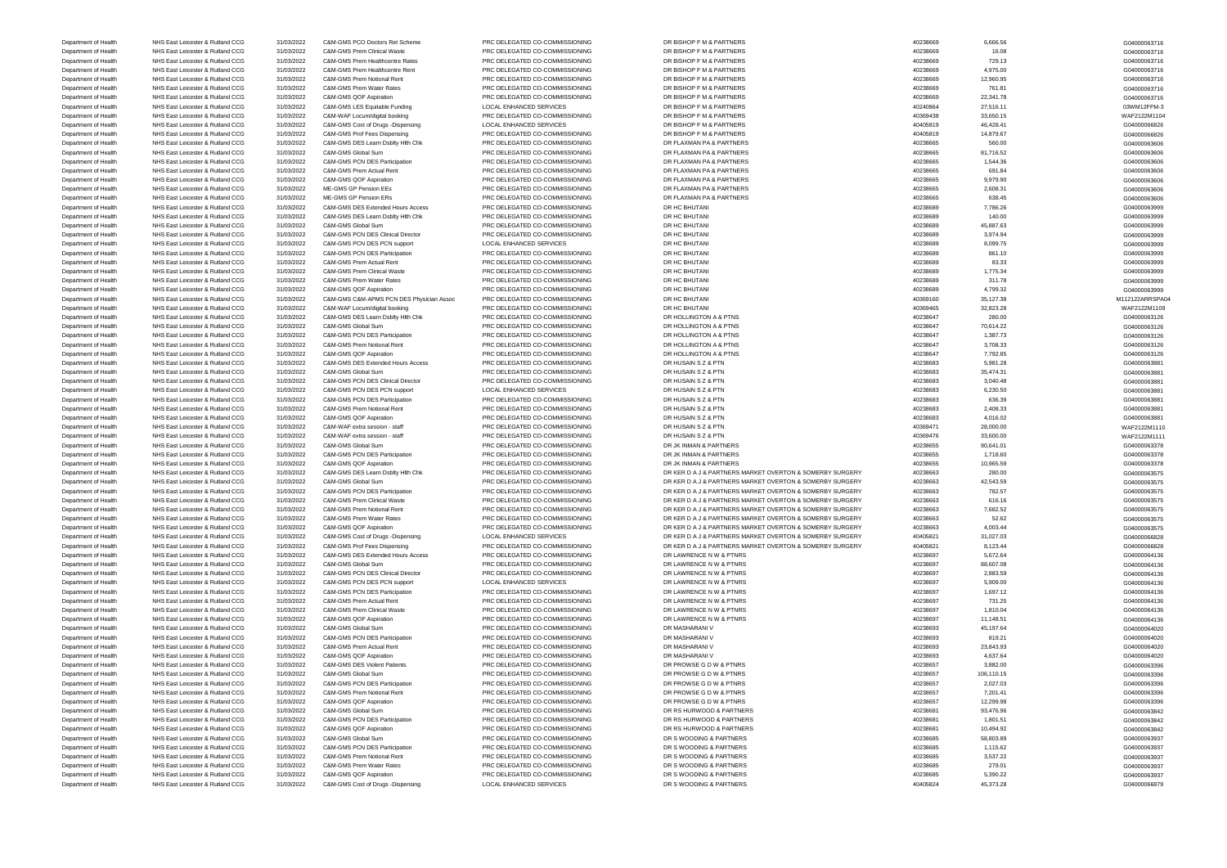Department of Health NHS East Leicester & Rutland CCG 31/03/2022 C&M-GMS Cost of Drugs -Dispensing LOCAL ENHANCED SERVICES DR S WOODING & PARTNERS 40405824 40405824 45,373.28 45,373.28 604000066879

Department of Health NHS East Leicester & Rutland CCG 31/03/2022 C&M-GMS PCO Doctors Ret Scheme PRC DELEGATED CO-COMMISSIONING DR BISHOP F M & PARTNERS 40238669 40238669 6,666.56 666.56 666.56 604000063716 Department of Health NHS East Leicester & Rutland CCG 31/03/2022 C&M-GMS Prem Clinical Waste PRC DELEGATED CO-COMMISSIONING DR BISHOP F M & PARTNERS 40238669 40238669 16.08 16.08 16.08 604000063716 Department of Health NHS East Leicester & Rutland CCG 31/03/2022 C&M-GMS Prem Healthcentre Rates PRC DELEGATED CO-COMMISSIONING DR BISHOP F M & PARTNERS 40238669 40238669 729.13 40238669 729.13 G04000063716 Department of Health NHS East Leicester & Rutland CCG 31/03/2022 C&M-GMS Prem Healthcentre Rent PRC DELEGATED CO-COMMISSIONING DR BISHOP F M & PARTNERS 40238669 4,975.00 4,975.00 4,975.00 604000063716 Department of Health NHS East Leicester & Rutland CCG 31/03/2022 C&M-GMS Prem Notional Rent PRC DELEGATED CO-COMMISSIONING DR BISHOP F M & PARTNERS 40238669 40238669 12,960.95 40238669 12,960.95 604000063716 Department of Health NHS East Leicester & Rutland CCG 31/03/2022 C&M-GMS Prem Water Rates PRC DELEGATED CO-COMMISSIONING DR BISHOP F M & PARTNERS 40238669 761.81 40238669 761.81 G04000063716 Department of Health NHS East Leicester & Rutland CCG 31/03/2022 C&M-GMS QOF Aspiration PRC DELEGATED CO-COMMISSIONING DR BISHOP F M & PARTNERS 40238669 40238669 22,341.78 40238669 22,341.78 G04000063716 Department of Health NHS East Leicester & Rutland CCG 31/03/2022 C&M-GMS LES Equitable Funding LOCAL ENHANCED SERVICES DR BISHOP F M & PARTNERS 40240864 40240864 27,516.11 03WM12FFM-3 Department of Health NHS East Leicester & Rutland CCG 31/03/2022 C&M-WAF Locum/digital booking PRC DELEGATED CO-COMMISSIONING DR BISHOP F M & PARTNERS 40369438 33,650.15 33,650.15 WAF2122M1104 Department of Health NHS East Leicester & Rutland CCG 31/03/2022 C&M-GMS Cost of Drugs -Dispensing LOCAL ENHANCED SERVICES DR BISHOP F M & PARTNERS 40405819 40405819 46,428.41 40405819 46,428.41 G04000066826 Department of Health NHS East Leicester & Rutland CCG 31/03/2022 C&M-GMS Prof Fees Dispensing PRC DELEGATED CO-COMMISSIONING DR BISHOP F M & PARTNERS 40405819 14,879.67 14,879.67 C04000066826 Department of Health NHS East Leicester & Rutland CCG 31/03/2022 C&M-GMS DES Learn Dsblty Hlth Chk PRC DELEGATED CO-COMMISSIONING DR FLAXMAN PA & PARTNERS 40238665 560.00 560.00 560.00 604000063606 Department of Health NHS East Leicester & Rutland CCG 31/03/2022 C&M-GMS Global Sum PRC DELEGATED CO-COMMISSIONING DR FLAXMAN PA & PARTNERS 40238665 81,716.52 40238665 81,716.52 604000063606 Department of Health NHS East Leicester & Rutland CCG 31/03/2022 C&M-GMS PCN DES Participation PRC DELEGATED CO-COMMISSIONING DR FLAXMAN PA & PARTNERS 40238665 1,544.36 40238665 1,544.36 604000063606 Department of Health NHS East Leicester & Rutland CCG 31/03/2022 C&M-GMS Prem Actual Rent PRC DELEGATED CO-COMMISSIONING DR FLAXMAN PA & PARTNERS 40238665 691.84 6991.84 6991.84 609100063606 Department of Health NHS East Leicester & Rutland CCG 31/03/2022 C&M-GMS QOF Aspiration PRC DELEGATED CO-COMMISSIONING DR FLAXMAN PA & PARTNERS 40238665 9,979.90 40238665 9,979.90 504000063606 9,979.90 504000063606 9,979.9 Department of Health NHS East Leicester & Rutland CCG 31/03/2022 ME-GMS GP Pension EEs PRC DELEGATED CO-COMMISSIONING DR FLAXMAN PA & PARTNERS 40238665 42,608.31 40238665 2,608.31 G04000063606 Department of Health NHS East Leicester & Rutland CCG 31/03/2022 ME-GMS GP Pension ERs PRC DELEGATED CO-COMMISSIONING DR FLAXMAN PA & PARTNERS 40238665 638.45 638.45 638.45 639.45 G04000063606 Department of Health NHS East Leicester & Rutland CCG 31/03/2022 C&M-GMS DES Extended Hours Access PRC DELEGATED CO-COMMISSIONING DR HC BHUTANI 40238689 40238689 7,786.26 7,786.26 604000063999 Department of Health NHS East Leicester & Rutland CCG 31/03/2022 C&M-GMS DES Learn Dsblty Hlth Chk PRC DELEGATED CO-COMMISSIONING DR HC BHUTANI 40238689 40238689 140.00 40238689 140.00 604000063999 Department of Health NHS East Leicester & Rutland CCG 31/03/2022 C&M-GMS Global Sum PRC DELEGATED CO-COMMISSIONING DR HC BHUTANI 40238689 45,887.63 45,887.63 45,887.63 604000063999 Department of Health NHS East Leicester & Rutland CCG 31/03/2022 C&M-GMS PCN DES Clinical Director PRC DELEGATED CO-COMMISSIONING DR HC BHUTANI 40238689 3,974.94 3,974.94 3,974.94 G04000063999 Department of Health NHS East Leicester & Rutland CCG 31/03/2022 C&M-GMS PCN DES PCN support LOCAL ENHANCED SERVICES DR HC BHUTANI 40238689 40238689 8,099.75 40238689 8,099.75 G04000063999 Department of Health NHS East Leicester & Rutland CCG 31/03/2022 C&M-GMS PCN DES Participation PRC DELEGATED CO-COMMISSIONING DR HC BHUTANI 40238689 861.10 40238689 861.10 G04000063999 Department of Health NHS East Leicester & Rutland CCG 31/03/2022 C&M-GMS Prem Actual Rent PRC DELEGATED CO-COMMISSIONING DR HC BHUTANI 40238689 40238689 83.33 630 83.33 G04000063999 Department of Health NHS East Leicester & Rutland CCG 31/03/2022 C&M-GMS Prem Clinical Waste PRC DELEGATED CO-COMMISSIONING DR HC BHUTANI 40238689 40238689 1,775.34 40238689 1,775.34 604000063999 Department of Health NHS East Leicester & Rutland CCG 31/03/2022 C&M-GMS Prem Water Rates PRC DELEGATED CO-COMMISSIONING DR HC BHUTANI 40238689 311.78 40238689 311.78 311.78 G04000063999 Department of Health NHS East Leicester & Rutland CCG 31/03/2022 C&M-GMS QOF Aspiration PRC DELEGATED CO-COMMISSIONING DR HC BHUTANI 40238689 4,799.32 40238689 4,799.32 604000063999 Department of Health NHS East Leicester & Rutland CCG 31/03/2022 C&M-GMS C&M-APMS PCN DES Physician Assoc PRC DELEGATED CO-COMMISSIONING DR HC BHUTANI 40369160 40369160 35,127.38 M112122ARRSPA04 Department of Health NHS East Leicester & Rutland CCG 31/03/2022 C&M-WAF Locum/digital booking PRC DELEGATED CO-COMMISSIONING DR HC BHUTANI 40369465 32,823.28 32,823.28 8665 32,823.28 WAF2122M1109 Department of Health NHS East Leicester & Rutland CCG 31/03/2022 C&M-GMS DES Learn Dsblty Hlth Chk PRC DELEGATED CO-COMMISSIONING DR HOLLINGTON A & PTNS 40238647 40238647 280.00 4000063126 Department of Health NHS East Leicester & Rutland CCG 31/03/2022 C&M-GMS Global Sum PRC DELEGATED CO-COMMISSIONING DR HOLLINGTON A & PTNS 40238647 40238647 70,614.22 660000063126 Department of Health NHS East Leicester & Rutland CCG 31/03/2022 C&M-GMS PCN DES Participation PRC DELEGATED CO-COMMISSIONING DR HOLLINGTON A & PTNS 40238647 40238647 1,387.73 1604000063126 Department of Health NHS East Leicester & Rutland CCG 31/03/2022 C&M-GMS Prem Notional Rent PRC DELEGATED CO-COMMISSIONING DR HOLLINGTON A & PTNS 40238647 3,708.33 40238647 3,708.33 G04000063126 Department of Health NHS East Leicester & Rutland CCG 31/03/2022 C&M-GMS QOF Aspiration PRC DELEGATED CO-COMMISSIONING DR HOLLINGTON A & PTNS 40238647 40238647 7,792.85 40238647 7,792.85 604000063126 Department of Health NHS East Leicester & Rutland CCG 31/03/2022 C&M-GMS DES Extended Hours Access PRC DELEGATED CO-COMMISSIONING DR HUSAIN S Z & PTN 40238683 40238683 5,981.28 5,981.28 5,981.28 Department of Health NHS East Leicester & Rutland CCG 31/03/2022 C&M-GMS Global Sum PRC DELEGATED CO-COMMISSIONING DR HUSAIN S Z & PTN 40238683 35,474.31 40238683 35,474.31 G04000063881 Department of Health NHS East Leicester & Rutland CCG 31/03/2022 C&M-GMS PCN DES Clinical Director PRC DELEGATED CO-COMMISSIONING DR HUSAIN S Z & PTN 40238683 3,040.48 3,040.48 3,040.48 3,040.48 3,040.48 3,040.48 3,040.48 Department of Health NHS East Leicester & Rutland CCG 31/03/2022 C&M-GMS PCN DES PCN support LOCAL ENHANCED SERVICES DR HUSAIN S Z & PTN 40238683 6,230.50 6,230.50 6,230.50 6,04000063881 Department of Health NHS East Leicester & Rutland CCG 31/03/2022 C&M-GMS PCN DES Participation PRC DELEGATED CO-COMMISSIONING DR HUSAIN S Z & PTN 40238683 636.39 636.39 636.39 639.40000063881 604000063881 Department of Health NHS East Leicester & Rutland CCG 31/03/2022 C&M-GMS Prem Notional Rent PRC DELEGATED CO-COMMISSIONING DR HUSAIN S Z & PTN 40238683 40238683 2,408.33 2,408.33 2,408.33 2,408.33 2,408.33 2,408.34 2,408.3 Department of Health NHS East Leicester & Rutland CCG 31/03/2022 C&M-GMS QOF Aspiration PRC DELEGATED CO-COMMISSIONING DR HUSAIN S Z & PTN 40238683 4,016.02 40238683 4,016.02 40238683 4,016.02 504000063881 Department of Health NHS East Leicester & Rutland CCG 31/03/2022 C&M-WAF extra session - staff PRC DELEGATED CO-COMMISSIONING DR HUSAIN S Z & PTN 40369471 40369471 28,000.00 WAF2122M1110 Department of Health NHS East Leicester & Rutland CCG 31/03/2022 C&M-WAF extra session - staff PRC DELEGATED CO-COMMISSIONING DR HUSAIN S Z & PTN 40369476 33,600.00 40369476 33,600.00 WAF2122M11111 Department of Health NHS East Leicester & Rutland CCG 31/03/2022 C&M-GMS Global Sum PRC DELEGATED CO-COMMISSIONING DR JK INMAN & PARTNERS 4023865 90,641.01 4023865 90,641.01 G04000063378 Department of Health NHS East Leicester & Rutland CCG 31/03/2022 C&M-GMS PCN DES Participation PRC DELEGATED CO-COMMISSIONING DR JK INMAN & PARTNERS 40238655 40238655 1,718.60 40238655 1,718.60 604000063378 Department of Health NHS East Leicester & Rutland CCG 31/03/2022 C&M-GMS QOF Aspiration PRC DELEGATED CO-COMMISSIONING DR JK INMAN & PARTNERS 40238655 40,965.59 40238655 10,965.59 40238655 10,965.59 604000063378 Department of Health NHS East Leicester & Rutland CCG 31/03/2022 C&M-GMS DES Learn Dsblty Hlth Chk PRC DELEGATED CO-COMMISSIONING DR KER D A J & PARTNERS MARKET OVERTON & SOMERRY SURGERY 40238663 280.00 280.00 G04000063575 Department of Health NHS East Leicester & Rutland CCG 31/03/2022 C&M-GMS Global Sum PRC DELEGATED CO-COMMISSIONING DR KER D A J & PARTNERS MARKET OVERTON & SOMERBY SURGERY 40238663 42,543.59 40238663 42,543.59 G04000063575 Department of Health NHS East Leicester & Rutland CCG 31/03/2022 C&M-GMS PCN DES Participation PRC DELEGATED CO-COMMISSIONING DR KER DA J & PARTNERS MARKET OVERTON & SOMERBY SURGERY 40238663 782.57 782.57 599 782.57 899 19 Department of Health NHS East Leicester & Rutland CCG 31/03/2022 C&M-GMS Prem Clinical Waste PRC DELEGATED CO-COMMISSIONING DR KER D A J & PARTNERS MARKET OVERTON & SOMERBY SURGERY 40238663 616.16 616.16 604000063575 Department of Health NHS East Leicester & Rutland CCG 31/03/2022 C&M-GMS Prem Notional Rent PRC DELEGATED CO-COMMISSIONING DR KER D A J & PARTNERS MARKET OVERTON & SOMERBY SURGERY 40238663 7,682.52 7,682.52 G04000063575 Department of Health NHS East Leicester & Rutland CCG 31/03/2022 C&M-GMS Prem Water Rates PRC DELEGATED CO-COMMISSIONING DR KER D A J & PARTNERS MARKET OVERTON & SOMERBY SURGERY 40238663 52.62 52.62 52.62 52.62 59400006357 Department of Health NHS East Leicester & Rutland CCG 31/03/2022 C&M-GMS OOF Aspiration PRC DELEGATED CO-COMMISSIONING DR KER D A J & PARTNERS MARKET OVERTON & SOMERRY SURGERY 4,003.44 4,003.44 4,003.44 GO4000063575 Department of Health NHS East Leicester & Rutland CCG 31/03/2022 C&M-GMS Cost of Drugs -Dispensing LOCAL ENHANCED SERVICES DR KER DA J & PARTNERS MARKET OVERTON & SOMERBY SURGERY 40405821 31,027.03 NRS Fast Leicester & Rut Department of Health NHS East Leicester & Rutland CCG 31/03/2022 C&M-GMS Prof Fees Dispensing PRC DELEGATED CO-COMMISSIONING DR KER D A J & PARTNERS MARKET OVERTON & SOMERBY SURGERY 40405821 8,123.44 8,123.44 8,123.44 G040 Department of Health NHS East Leicester & Rutland CCG 31/03/2022 C&M-GMS DES Extended Hours Access PRC DELEGATED CO-COMMISSIONING DR LAWRENCE N W & PTNRS 40238697 40238697 5,672.64 604000064136 Department of Health NHS East Leicester & Rutland CCG 31/03/2022 C&M-GMS Global Sum PRC DELEGATED CO-COMMISSIONING DR LAWRENCE N W & PTNRS 40238697 88,607.08 40238697 88,607.08 604000064136 Department of Health NHS East Leicester & Rutland CCG 31/03/2022 C&M-GMS PCN DES Clinical Director PRC DELEGATED CO-COMMISSIONING DR LAWRENCE N W & PTNRS 40238697 2,883.59 40238697 2,883.59 604000064136 Department of Health NHS East Leicester & Rutland CCG 31/03/2022 C&M-GMS PCN DES PCN support LOCAL ENHANCED SERVICES DR LAWRENCE N W & PTNRS 40238697 40238697 5,909.00 504000064136 Department of Health NHS East Leicester & Rutland CCG 31/03/2022 C&M-GMS PCN DES Participation PRC DELEGATED CO-COMMISSIONING DR LAWRENCE N W & PTNRS 40238697 4,697.12 1,697.12 1,697.12 604000064136 Department of Health NHS East Leicester & Rutland CCG 31/03/2022 C&M-GMS Prem Actual Rent PRC DELEGATED CO-COMMISSIONING DR LAWRENCE N W & PTNRS 40238697 731.25 40238697 731.25 G04000064136 Department of Health NHS East Leicester & Rutland CCG 31/03/2022 C&M-GMS Prem Clinical Waste PRC DELEGATED CO-COMMISSIONING DR LAWRENCE N W & PTNRS 40238697 4,810.04 40238697 1,810.04 604000064136 Department of Health NHS East Leicester & Rutland CCG 31/03/2022 C&M-GMS QOF Aspiration PRC DELEGATED CO-COMMISSIONING DR LAWRENCE N W & PTNRS 40238697 40238697 11,148.51 40238697 11,148.51 604000064136 Department of Health NHS East Leicester & Rutland CCG 31/03/2022 C&M-GMS Global Sum PRC DELEGATED CO-COMMISSIONING DR MASHARANI V 40238693 45,197.64 40238693 45,197.64 40238693 45,197.64 604000064020 Department of Health NHS East Leicester & Rutland CCG 31/03/2022 C&M-GMS PCN DES Participation PRC DELEGATED CO-COMMISSIONING DR MASHARANI V 40238693 819.21 40238693 819.21 604000064020 Department of Health NHS East Leicester & Rutland CCG 31/03/2022 C&M-GMS Prem Actual Rent PRC DELEGATED CO-COMMISSIONING DR MASHARANI V 40238693 40238693 23,843.93 23,843.93 604000064020 Department of Health NHS East Leicester & Rutland CCG 31/03/2022 C&M-GMS QOF Aspiration PRC DELEGATED CO-COMMISSIONING DR MASHARANI V 40238693 4,637.64 40238693 4,637.64 604000064020 Department of Health NHS East Leicester & Rutland CCG 31/03/2022 C&M-GMS DES Violent Patients PRC DELEGATED CO-COMMISSIONING DR PROWSE G D W & PTNRS 40238657 40238657 3,882.00 4000063396 Department of Health NHS East Leicester & Rutland CCG 31/03/2022 C&M-GMS Global Sum PRC DELEGATED CO-COMMISSIONING DR PROWSE G D W & PTNRS 40238657 106,110.15 40238657 106,110.15 C04000063396 Department of Health NHS East Leicester & Rutland CCG 31/03/2022 C&M-GMS PCN DES Participation PRC DELEGATED CO-COMMISSIONING DR PROWSE G D W & PTNRS 40238657 40238657 2,027.03 40238657 2,027.03 604000063396 Department of Health NHS East Leicester & Rutland CCG 31/03/2022 C&M-GMS Prem Notional Rent PRC DELEGATED CO-COMMISSIONING DR PROWSE G D W & PTNRS 40238657 40238657 7,201.41 604000063396 Department of Health NHS East Leicester & Rutland CCG 31/03/2022 C&M-GMS QOF Aspiration PRC DELEGATED CO-COMMISSIONING DR PROWSE G D W & PTNRS 40238657 40238657 12,299.98 40238657 12,299.98 604000063396 Department of Health NHS East Leicester & Rutland CCG 31/03/2022 C&M-GMS Global Sum PRC DELEGATED CO-COMMISSIONING DR RS HURWOOD & PARTNERS 40238681 40238681 93,476.96 93,476.96 93,476.96 604000063842 Department of Health NHS East Leicester & Rutland CCG 31/03/2022 C&M-GMS PCN DES Participation PRC DELEGATED CO-COMMISSIONING DR RS HURWOOD & PARTNERS 40238681 40238681 1,801.51 1,801.51 604000063842 Department of Health NHS East Leicester & Rutland CCG 31/03/2022 C&M-GMS QOF Aspiration PRC DELEGATED CO-COMMISSIONING DR RS HURWOOD & PARTNERS 40238681 40238681 10,494.92 40238681 10,494.92 604000063842 Department of Health NHS East Leicester & Rutland CCG 31/03/2022 C&M-GMS Global Sum PRC DELEGATED CO-COMMISSIONING DR S WOODING & PARTNERS 40238685 58,803.89 40238685 58,803.89 604000063937 Department of Health NHS East Leicester & Rutland CCG 31/03/2022 C&M-GMS PCN DES Participation PRC DELEGATED CO-COMMISSIONING DR S WOODING & PARTNERS 40238685 4,115.62 40238685 1,115.62 504000063937 Department of Health NHS East Leicester & Rutland CCG 31/03/2022 C&M-GMS Prem Notional Rent PRC DELEGATED CO-COMMISSIONING DR S WOODING & PARTNERS 40238685 40238685 3,537.22 40238685 3,537.22 604000063937 Department of Health NHS East Leicester & Rutland CCG 31/03/2022 C&M-GMS Prem Water Rates PRC DELEGATED CO-COMMISSIONING DR S WOODING & PARTNERS 40238685 40238685 279.01 40238685 279.01 Department of Health NHS East Leicester & Rutland CCG 31/03/2022 C&M-GMS QOF Aspiration PRC DELEGATED CO-COMMISSIONING DR S WOODING & PARTNERS 40238685 40238685 5,390.22 6604000063937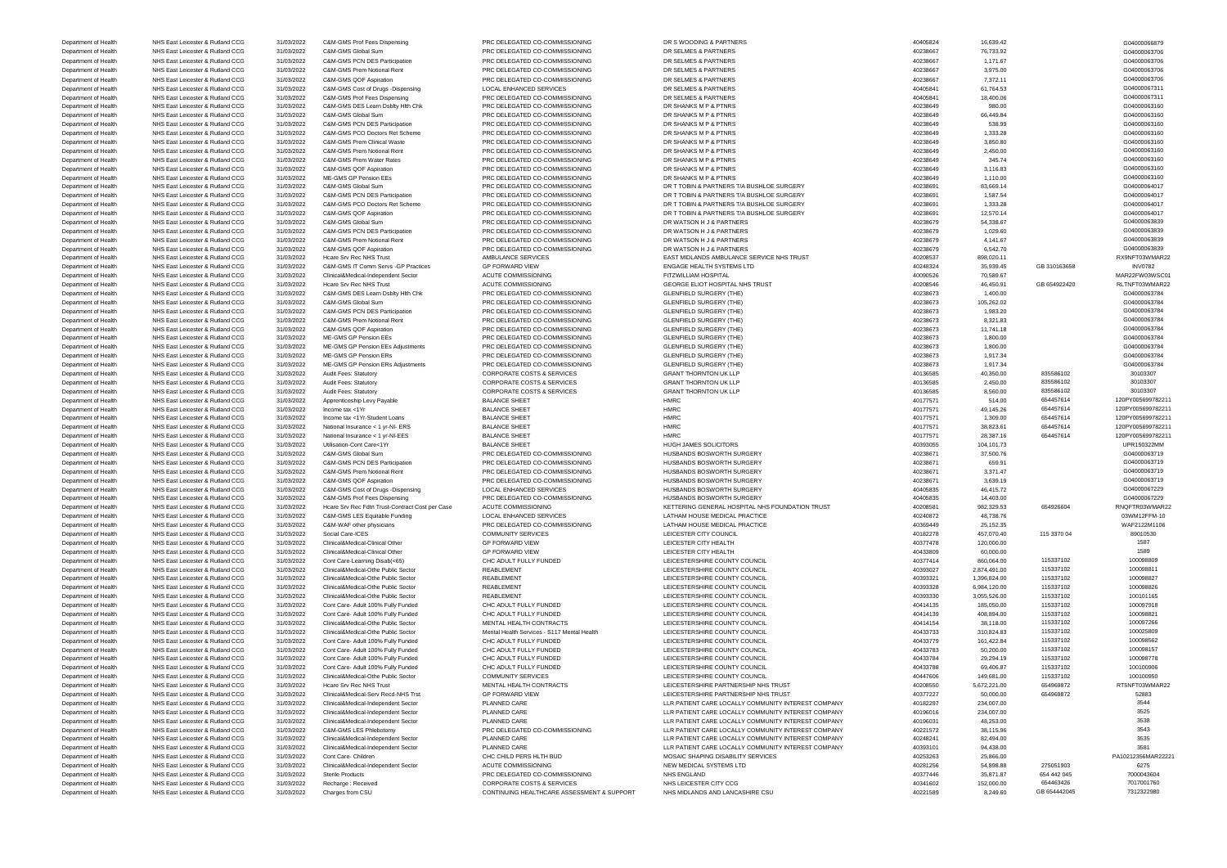Department of Health NHS East Leicester & Rutland CCG 31/03/2022 C&M-GMS Prof Fees Dispensing PRC DELEGATED CO-COMMISSIONING DR S WOODING & PARTNERS 40405824 40405824 16,639.42 16,639.42 604000066879 Department of Health NHS East Leicester & Rutland CCG 31/03/2022 C&M-GMS Global Sum PRC DELEGATED CO-COMMISSIONING DR SELMES & PARTNERS 40238667 40238667 76,733.92 40238667 76,733.92 604000063706 Department of Health NHS East Leicester & Rutland CCG 31/03/2022 C&M-GMS PCN DES Participation PRC DELEGATED CO-COMMISSIONING DR SELMES & PARTNERS 40238667 40238667 1,171.67 40238667 1,171.67 604000063706 Department of Health NHS East Leicester & Rutland CCG 31/03/2022 C&M-GMS Prem Notional Rent PRC DELEGATED CO-COMMISSIONING DR SELMES & PARTNERS 40238667 40238667 3,975.00 403867 3,975.00 604000063706 Department of Health NHS East Leicester & Rutland CCG 31/03/2022 C&M-GMS QOF Aspiration PRC DELEGATED CO-COMMISSIONING DR SELMES & PARTNERS 40238667 40238667 7,372.11 40238667 7,372.11 604000063706 Department of Health NHS East Leicester & Rutland CCG 31/03/2022 C&M-GMS Cost of Drugs -Dispensing LOCAL ENHANCED SERVICES DR SELMES & PARTNERS 40405841 40405841 61,764.53 604000067311 Department of Health NHS East Leicester & Rutland CCG 31/03/2022 C&M-GMS Prof Fees Dispensing PRC DELEGATED CO-COMMISSIONING DR SELMES & PARTNERS 40405841 40405841 18,400.06 40405841 18,400.06 604000067311 Department of Health NHS East Leicester & Rutland CCG 31/03/2022 C&M-GMS DES Learn Dsblty Hlth Chk PRC DELEGATED CO-COMMISSIONING DR SHANKS M P & PTNRS 40238649 980.00 980.00 980.00 G04000063160 Department of Health NHS East Leicester & Rutland CCG 31/03/2022 C&M-GMS Global Sum PRC DELEGATED CO-COMMISSIONING DR SHANKS M P & PTNRS 40238649 66,449.84 66,449.84 604000063160 Department of Health NHS East Leicester & Rutland CCG 31/03/2022 C&M-GMS PCN DES Participation PRC DELEGATED CO-COMMISSIONING DR SHANKS M P & PTNRS 40238649 40238649 538.99 538.99 538.99 604000063160 Department of Health NHS East Leicester & Rutland CCG 31/03/2022 C&M-GMS PCO Doctors Ret Scheme PRC DELEGATED CO-COMMISSIONING DR SHANKS M P & PTNRS 40238649 40238649 1,333.28 40238649 1,333.28 604000063160 network of Health NHS East Leicester & Rutland CCG 31/03/2022 C&M-GMS Prem Clinical Waste PRC DELEGATED CO-COMMISSIONING DR SHANKS M P & PTNRS 40238649 40238649 3,850.80 3,850.80 3,850.80 S04000063160 3,450.00 G04000063160 Department of Health NHS East Leicester & Rutland CCG 31/03/2022 C&M-GMS Prem Notional Rent PRC DELEGATED CO-COMMISSIONING DR SHANKS M P & PTNRS 40238649 40238649 Department of Health NHS East Leicester & Rutland CCG 31/03/2022 C&M-GMS Prem Water Rates PRC DELEGATED CO-COMMISSIONING DR SHANKS M P & PTNRS 40238649 40238649 345.74 345.74 G04000063160 Department of Health NHS East Leicester & Rutland CCG 31/03/2022 C&M-GMS QOF Aspiration PRC DELEGATED CO-COMMISSIONING DR SHANKS M P & PTNRS 40238649 3,116.83 40238649 3,116.83 G04000063160 Department of Health NHS East Leicester & Rutland CCG 31/03/2022 ME-GMS GP Pension EEs PRC DELEGATED CO-COMMISSIONING DR SHANKS M P & PTNRS 40238649 40238649 1,110.00 40238649 1,110.00 G04000063160 Department of Health NHS East Leicester & Rutland CCG 31/03/2022 C&M-GMS Global Sum PRC DELEGATED CO-COMMISSIONING DR T TOBIN & PARTNERS T/A BUSHLOE SURGERY 40238691 83,669.14 83,669.14 83,669.14 83,669.14 83,669.14 83,669 Department of Health NHS East Leicester & Rutland CCG 31/03/2022 C&M-GMS PCN DES Participation PRC DELEGATED CO-COMMISSIONING DR T TOBIN & PARTNERS T/A BUSHLOE SURGERY 40238691 40238691 1,587.54 1,587.54 604000064017 Department of Health NHS East Leicester & Rutland CCG 31/03/2022 C&M-GMS PCO Doctors Ret Scheme PRC DELEGATED CO-COMMISSIONING DR T TOBIN & PARTNERS T/A BUSHLOE SURGERY 40238691 40238691 1,333.28 1,333.28 504000064017 Department of Health NHS East Leicester & Rutland CCG 31/03/2022 C&M-GMS QOF Aspiration PRC DELEGATED CO-COMMISSIONING DR T TOBIN & PARTNERS T/A BUSHLOE SURGERY 40238691 40238691 12,570.14 12,570.14 604000064017 Department of Health NHS East Leicester & Rutland CCG 31/03/2022 C&M-GMS Global Sum PRC DELEGATED CO-COMMISSIONING DR WATSON H J & PARTNERS 40238679 54,338.67 54,338.67 54,338.67 604000063839 Department of Health NHS East Leicester & Rutland CCG 31/03/2022 C&M-GMS PCN DES Participation PRC DELEGATED CO-COMMISSIONING DR WATSON H J & PARTNERS 40238679 40238679 1,029.60 40000063839 1,029.60 604000063839 Department of Health NHS East Leicester & Rutland CCG 31/03/2022 C&M-GMS Prem Notional Rent PRC DELEGATED CO-COMMISSIONING DR WATSON H J & PARTNERS 40238679 4,141.67 40238679 4,141.67 604000063839 Department of Health NHS East Leicester & Rutland CCG 31/03/2022 C&M-GMS QOF Aspiration PRC DELEGATED CO-COMMISSIONING DR WATSON H J & PARTNERS 40238679 40238679 6,542.70 604000063839 Department of Health NHS East Leicester & Rutland CCG 31/03/2022 Hcare Srv Rec NHS Trust AMBULANCE SERVICES EAST MIDLANDS AMBULANCE SERVICE NHS TRUST SERVICE NHS TRUST 40208537 898,020.11 RX9NFT03WMAR22<br>Department of Healt Department of Health NHS East Leicester & Rutland CCG 31/03/2022 C&M-GMS IT Comm Servs -GP Practices GP FORWARD VIEW ENGAGE HEALTH SYSTEMS LTD 40248324 35,939.45 GB 310163658 INV0782<br>Department of Health NHS East Leicester Department of Health NHS East Leicester & Rutland CCG 31/03/2022 Clinical&Medical-Independent Sector ACUTE COMMISSIONING FITZWILLIAM HOSPITAL 4009051 40090526 70,589.67 70,589.67 MAR22FW03WSC01 Department of Health NHS East Leicester & Rutland CCG 31/03/2022 Hcare Srv Rec NHS Trust ACUTE COMMISSIONING GEORGE ELIOT HOSPITAL NHS TRUST 40208546 46,450.91 GB 654922420 RLTNFT03WMAR22 Department of Health NHS East Leicester & Rutland CCG 31/03/2022 C&M-GMS DES Learn Dsblty Hlth Chk PRC DELEGATED CO-COMMISSIONING GLENFIELD SURGERY (THE) 40238673 40238673 1,400.00 40238673 1,400.00 40238673 504000063784 Department of Health NHS East Leicester & Rutland CCG 31/03/2022 C&M-GMS Global Sum PRC DELEGATED CO-COMMISSIONING GLENFIELD SURGERY (THE) 40238673 105,262.02 105,262.02 6604000063784 Department of Health NHS East Leicester & Rutland CCG 31/03/2022 C&M-GMS PCN DES Participation PRC DELEGATED CO-COMMISSIONING GLENFIELD SURGERY (THE) 40238673 40238673 1,983.20 1,983.20 504000063784 Department of Health NHS East Leicester & Rutland CCG 31/03/2022 C&M-GMS Prem Notional Rent PRC DELEGATED CO-COMMISSIONING GLENFIELD SURGERY (THE) 40238673 40238673 8,321.83 8,321.83 604000063784 net of Health NHS East Leicester & Rutland CCG 31/03/2022 C&M-GMS QOF Aspiration PRC DELEGATED CO-COMMISSIONING GLENFIELD SURGERY (THE) 40238673 11,741.18 40238673 11,741.18 NHS East Leicester & Rutland CCG 31/03/2022 ME-G Department of Health NHS East Leicester & Rutland CCG 31/03/2022 ME-GMS GP Pension EEs PRC DELEGATED CO-COMMISSIONING GLENFIELD SURGERY (THE) 40238673 4,800.00 40238673 1,800.00 40238673 1,800.00 40238673 504000063784 Department of Health NHS East Leicester & Rutland CCG 31/03/2022 ME-GMS GP Pension EEs Adjustments PRC DELEGATED CO-COMMISSIONING GLENFIELD SURGERY (THE) 40238673 40238673 1,800.00 40238673 1,800.00 40238673 1,800.00 60400 Department of Health NHS East Leicester & Rutland CCG 31/03/2022 ME-GMS GP Pension ERs PRC DELEGATED CO-COMMISSIONING GLENFIELD SURGERY (THE) 40238673 40238673 1,917.34 1,917.34 604000063784 Department of Health NHS East Leicester & Rutland CCG 31/03/2022 ME-GMS GP Pension ERs Adjustments PRC DELEGATED CO-COMMISSIONING GLENFIELD SURGERY (THE) 40238673 40238673 1,917.34 1,917.34 604000063784 Department of Health NHS East Leicester & Rutland CCG 31/03/2022 Audit Fees: Statutory CORPORATE COSTS & SERVICES GRANT THORNTON UK LLP 40136585 40,350.00 835586102 30103307 Department of Health NHS East Leicester & Rutland CCG 31/03/2022 Audit Fees: Statutory CORPORATE COSTS & SERVICES GRANT THORNTON UK LLP 40136585 4960.00 835586102 30103307 Department of Health NHS East Leicester & Rutland CCG 31/03/2022 Audit Fees: Statutory CORPORATE COSTS & SERVICES GRANT THORNTON UK LLP 40136585 8,560.00 835586102 30103307 Department of Health NHS East Leicester & Rutland CCG 31/03/2022 Apprenticeship Levy Payable BALANCE SHEET HMRC HMRC Apprentices are a many payable BALANCE SHEET HMRC Apprentices are a many payable and the state of the sta Department of Health NHS East Leicester & Rutland CCG 31/03/2022 Income tax <1Yr BALANCE SHEET HMRC 40177571 49,145.26 654457614 120PY005699782211 Department of Health NHS East Leicester & Rutland CCG 31/03/2022 Income tax <1Yr-Student Loans BALANCE SHEET HMRC HMRC 40177571 40177571 1,309.00 654457614 120PY005699782211 Department of Health NHS East Leicester & Rutland CCG 31/03/2022 National Insurance < 1 yr-NI- ERS BALANCE SHEET HMRC 40177571 38,823.61 654457614 120PY005699782211 Department of Health NHS East Leicester & Rutland CCG 31/03/2022 National Insurance < 1 yr-NI-EES BALANCE SHEET HMRC 40177571 28,387.16 654457614 120PY005699782211 Department of Health NHS East Leicester & Rutland CCG 31/03/2022 Utilisation-Cont Care<1Yr BALANCE SHEET HUGH JAMES SOLICITORS 40393055 104,101.73 40393055 104,101.73 UPR150322MM Department of Health NHS East Leicester & Rutland CCG 31/03/2022 C&M-GMS Global Sum PRC DELEGATED CO-COMMISSIONING HUSBANDS BOSWORTH SURGERY 40238671 37,500.76 37,500.76 604000063719 Department of Health NHS East Leicester & Rutland CCG 31/03/2022 C&M-GMS PCN DES Participation PRC DELEGATED CO-COMMISSIONING HUSBANDS BOSWORTH SURGERY 40238671 40238671 659.91 604000063719 659.91 604000063719 Department of Health NHS East Leicester & Rutland CCG 31/03/2022 C&M-GMS Prem Notional Rent PRC DELEGATED CO-COMMISSIONING HUSBANDS BOSWORTH SURGERY 40238671 47 40238671 3,371.47 40338671 3,371.47 604000063719 net of Health NHS East Leicester & Rutland CCG 31/03/2022 C&M-GMS QOF Aspiration PRC DELEGATED CO-COMMISSIONING<br>Department of Health NHS East Leicester & Rutland CCG 31/03/2022 C&M-GMS Cost of Drugs -Dispensing LOCAL ENHAN Department of Health NHS East Leicester & Rutland CCG 31/03/2022 C&M-GMS Cost of Drugs -Dispensing LOCAL ENHANCED SERVICES HUSBANDS BOSWORTH SURGERY 40405835 46,415.72 40405835 46,415.72 604000067229 604000067229 Department of Health NHS East Leicester & Rutland CCG 31/03/2022 C&M-GMS Prof Fees Dispensing PRC DELEGATED CO-COMMISSIONING HUSBANDS BOSWORTH SURGERY 40405835 44,403.00 40405835 14,403.00 40405835 14,403.00 G04000067229 Department of Health MHS East Leicester & Rutland CCG 31/03/2022 Hcare Stv Rec Fdtn Trust-Contract Cost per Case ACUTE COMMISSIONING KETTERING GENERAL HOSPITAL NHS FOUNDATION TRUST 9082,329.53 654926604 RNQFTR03WMAR22 Department of Health NHS East Leicester & Rutland CCG 31/03/2022 C&M-GMS LES Equitable Funding LOCAL ENHANCED SERVICES LATHAM HOUSE MEDICAL PRACTICE 40240872 48,738.76 49.738.76 49.738.76 03WM12FFM-10 Department of Health NHS East Leicester & Rutland CCG 31/03/2022 C&M-WAF other physicians PRC DELEGATED CO-COMMISSIONING LATHAM HOUSE MEDICAL PRACTICE 40369449 25,152.35 40369449 25,152.35 WAF2122M1106 Department of Health NHS East Leicester & Rutland CCG 31/03/2022 Social Care-ICES COMMUNITY SERVICES LEICESTER CITY COUNCIL COMMUNITY SERVICES LEICESTER CITY COUNCIL 40182278 457,070.40 115 3370 04 89010530 Department of Health NHS East Leicester & Rutland CCG 31/03/2022 Clinical&Medical-Clinical Other GP + GP FORWARD VIEW LEICESTER CITY HEALTH 40377478 40377478 120,000.00 1587 Department of Health NHS East Leicester & Rutland CCG 31/03/2022 Clinical&Medical-Clinical Other GP HORWARD VIEW LEICESTER CITY HEALTH 40433809 40433809 60,000.00 60,000.00 1589 Department of Health NHS East Leicester & Rutland CCG 31/03/2022 Cont Care-Learning Disab(<65) CHC ADULT FULLY FUNDED LEICESTERSHIRE COUNTY COUNCIL 40377414 860,064.00 115337102 100098809 Department of Health NHS East Leicester & Rutland CCG 31/03/2022 Clinical&Medical-Othe Public Sector REABLEMENT REABLEMENT LEICESTERSHIRE COUNTY COUNCIL 40393027 2,874,491.00 115337102 100098811 Department of Health NHS East Leicester & Rutland CCG 31/03/2022 Clinical&Medical-Othe Public Sector REABLEMENT REABLEMENT LEICESTERSHIRE COUNTY COUNCIL 40393321 1,396,824.00 115337102 100098827 Department of Health NHS East Leicester & Rutland CCG 31/03/2022 Clinical&Medical-Othe Public Sector REABLEMENT REABLEMENT LEICESTERSHIRE COUNTY COUNCIL 40393328 6,984,120.00 115337102 100098826 100098826 Department of Health NHS East Leicester & Rutland CCG 31/03/2022 Clinical&Medical-Othe Public Sector REABLEMENT REABLEMENT LEICESTERSHIRE COUNTY COUNCIL 40393330 3,055,526.00 115337102 100101165 Department of Health NHS East Leicester & Rutland CCG 31/03/2022 Cont Care- Adult 100% Fully Funded CHC ADULT FULLY FUNDED LEICESTERSHIRE COUNTY COUNCIL 40414135 185,050.00 115337102 100097918 Department of Health NHS East Leicester & Rutland CCG 31/03/2022 Cont Care- Adult 100% Fully Funded CHC ADULT FULLY FUNDED LEICESTERSHIRE COUNTY COUNCIL 40414139 408,894.00 115337102 100098821 Department of Health NHS East Leicester & Rutland CCG 31/03/2022 Clinical&Medical-Othe Public Sector MENTAL HEALTH CONTRACTS LEICESTERSHIRE COUNTY COUNCIL 40414154 38,118.00 115337102 100097266 Department of Health NHS East Leicester & Rutland CCG 31/03/2022 Clinical&Medical-Othe Public Sector Mental Health Services - S117 Mental Health Services - S117 Mental Health LEICESTERSHIRE COUNTY COUNCIL 40433733 310,824. Department of Health NHS East Leicester & Rutland CCG 31/03/2022 Cont Care- Adult 100% Fully Funded CHC ADULT FULLY FUNDED LEICESTERSHIRE COUNTY COUNCIL 40433779 161,422.84 115337102 100098562 Department of Health NHS East Leicester & Rutland CCG 31/03/2022 Cont Care- Adult 100% Fully Funded CHC ADULT FULLY FUNDED LEICESTERSHIRE COUNTY COUNCIL 40433783 50,200.00 115337102 100098157 Department of Health NHS East Leicester & Rutland CCG 31/03/2022 Cont Care- Adult 100% Fully Funded CHC ADULT FULLY FUNDED LEICESTERSHIRE COUNTY COUNCIL 40433784 29,294.19 115337102 100098778 Department of Health NHS East Leicester & Rutland CCG 31/03/2022 Cont Care- Adult 100% Fully Funded CHC ADULT FULLY FUNDED LEICESTERSHIRE COUNTY COUNCIL 40433788 69,406.87 115337102 100100906 Department of Health NHS East Leicester & Rutland CCG 31/03/2022 Clinical&Medical-Othe Public Sector COMMUNITY SERVICES LEICESTERSHIRE COUNTY COUNCIL 4047606 149,681.00 115337102 100100950 Department of Health NHS East Leicester & Rutland CCG 31/03/2022 Hcare Srv Rec NHS Trust MENTAL HEALTH CONTRACTS LEICESTERSHIRE PARTNERSHIP NHS TRUST 40208550 5,672,221.00 654969872 RT5NFT03WMAR22 Department of Health NHS East Leicester & Rutland CCG 31/03/2022 Clinical&Medical-Serv Recd-NHS Trst GP FORWARD VIEW LEICESTERSHIRE PARTNERSHIP NHS TRUST 40377227 50,000.00 654969872 52883 Department of Health NHS East Leicester & Rutland CCG 31/03/2022 Clinical&Medical-Independent Sector PLANNED CARE LOCALLY COMMUNITY INTEREST COMPANY 40182297 234,007.00 35454 234,007.00 3545 29 31/03/2022 Clinical&Medical-Department of Health NHS East Leicester & Rutland CCG 31/03/2022 Clinical&Medical-Independent Sector PLANNED CARE LOCALLY COMMUNITY INTEREST COMPANY 40196016 234,007.00 234,007.00 3525 Department of Health NHS East Leicester & Rutland CCG 31/03/2022 Clinical&Medical-Independent Sector PLANNED CARE LARTIENT CARE LOCALLY COMMUNITY INTEREST COMPANY 40196031 48,253.00 4838 Department of Health NHS East Leicester & Rutland CCG 31/03/2022 C&M-GMS LES Phlebotomy PRC DELEGATED CO-COMMISSIONING LLR PATIENT CARE LOCALLY COMMUNITY INTEREST COMPANY 40221572 38,115.96 38,43 Department of Health NHS East Leicester & Rutland CCG 31/03/2022 Clinical&Medical-Independent Sector PLANNED CARE LLR PATIENT CARE LOCALLY COMMUNITY INTEREST COMPANY 40248241 82,494.00 3535 Department of Health NHS East Leicester & Rutland CCG 31/03/2022 Clinical&Medical-Independent Sector PLANNED CARE LOCALLY COMMUNITY INTEREST COMPANY 40393101 94,438.00 94,438.00 3581 9581 3581 3581 3581 25.866.00 37/03/202 Department of Health NHS East Leicester & Rutland CCG 31/03/2022 Cont Care- Children CHC CHILD PERS HLTH BUD MOSAIC SHAPING DISABILITY SERVICES 40253263 25,866.00 25,866.00 PA10212356MAR22221 Department of Health NHS East Leicester & Rutland CCG 31/03/2022 Clinical&Medical-Independent Sector ACUTE COMMISSIONING NEW MEDICAL SYSTEMS LTD 40281256 54,898.88 54,898.88 275051903 6275 Department of Health NHS East Leicester & Rutland CCG 31/03/2022 Sterile Products PRC DELEGATED CO-COMMISSIONING NHS ENGLAND 40377446 35,871.87 654 442 045 7000043604 Department of Health NHS East Leicester & Rutland CCG 31/03/2022 Recharge : Received CORPORATE COSTS & SERVICES NHS LEICESTER CITY CCG 40341602 152,000.00 654463426 7017001760 Department of Health NHS East Leicester & Rutland CCG 31/03/2022 Charges from CSU CONTINUING HEALTHCARE ASSESSMENT & SUPPORT NHS MIDLANDS AND LANCASHIRE CSU 40221589 8,249.60 GB 654442045 7312322980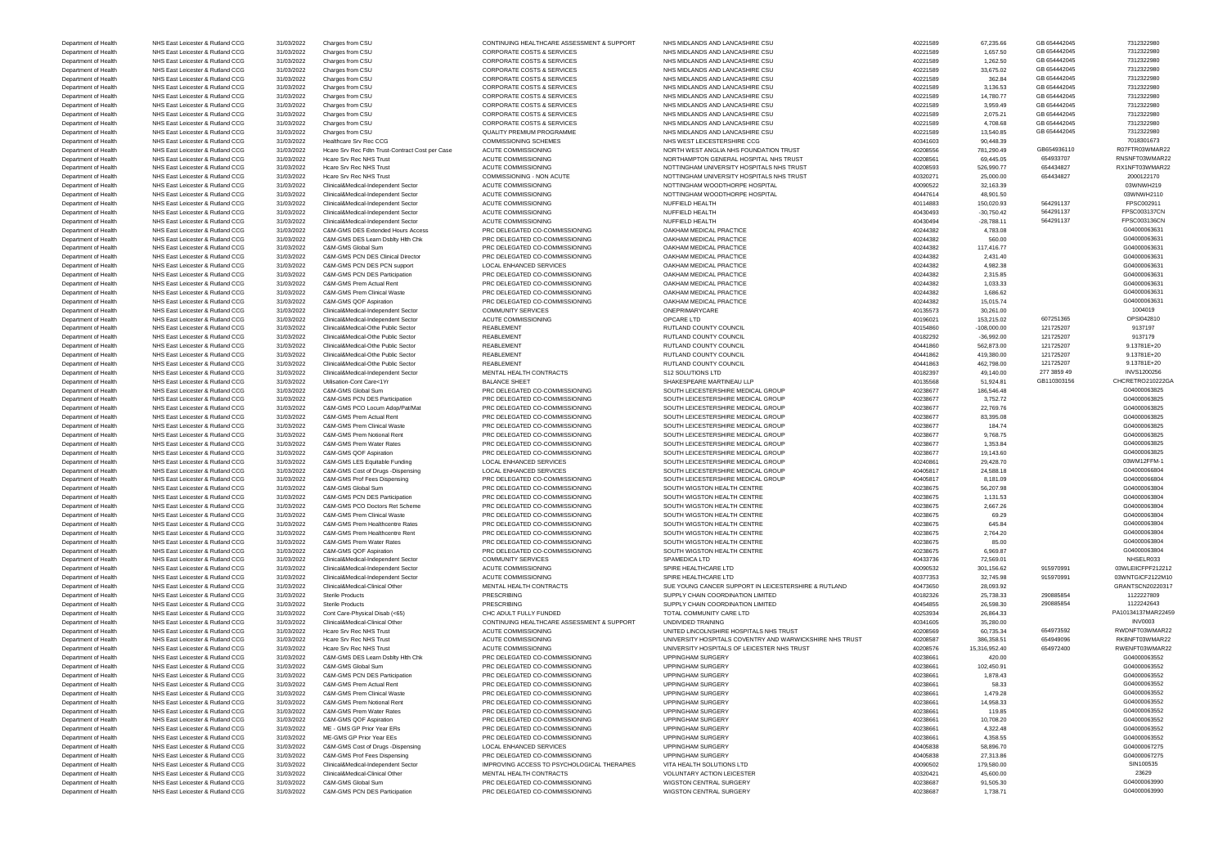Department of Health NHS East Leicester & Rutland CCG 31/03/2022 C&M-GMS PCN DES Participation PRC DELEGATED CO-COMMISSIONING WIGSTON CENTRAL SURGERY 40238687 40238687 1,738.71 1604000063990

Department of Health NHS East Leicester & Rutland CCG 31/03/2022 Charges from CSU CONTINUING HEALTHCARE ASSESSMENT & SUPPORT NHS MIDLANDS AND LANCASHIRE CSU 40221589 67,235.66 GB 654442045 7312322980 7312322980 7312322980 -<br>- Department of Health NHS East Leicester & Rutland CCG 31/03/2022 Charges from CSU CORPORATE COSTS & SERVICES<br>- CORPORATE COSTS & SERVICES NHS MIDLANDS AND LANCASHIRE CSU ALT 40221589 1,657.50 GB 654442045 740231589 1 Department of Health NHS East Leicester & Rutland CCG 31/03/2022 Charges from CSU CORPORATE COSTS & SERVICES NHS MIDLANDS AND LANCASHIRE CSU 40221589 40221589 1,262.50 GB 654442045 7312322980 Department of Health NHS East Leicester & Rutland CCG 31/03/2022 Charges from CSU CORPORATE COSTS & SERVICES NHS MIDLANDS AND LANCASHIRE CSU 40221589 33,675.02 GB 654442045 7312322980 Department of Health NHS East Leicester & Rutland CCG 31/03/2022 Charges from CSU CORPORATE COSTS & SERVICES NHS MIDLANDS AND LANCASHIRE CSU 40221589 362.84 GB 654442045 7312322980 Department of Health NHS East Leicester & Rutland CCG 31/03/2022 Charges from CSU CORPORATE COSTS & SERVICES NHS MIDLANDS AND LANCASHIRE CSU 40221589 40221589 3,136.53 GB 654442045 7312322980 Department of Health NHS East Leicester & Rutland CCG 31/03/2022 Charges from CSU CORPORATE COSTS & SERVICES NHS MIDLANDS AND LANCASHIRE CSU 40221589 14,780.77 GB 654442045 7312322980 Department of Health NHS East Leicester & Rutland CCG 31/03/2022 Charges from CSU CORPORATE COSTS & SERVICES NHS MIDLANDS AND LANCASHIRE CSU 40221589 40221589 3,959.49 GB 654442045 7312322980 Department of Health NHS East Leicester & Rutland CCG 31/03/2022 Charges from CSU CORPORATE COSTS & SERVICES NHS MIDLANDS AND LANCASHIRE CSU 40221589 40221589 40221589 40221589 40221589 40221589 40221589 5 40221589 4022158 Department of Health NHS East Leicester & Rutland CCG 31/03/2022 Charges from CSU CORPORATE COSTS & SERVICES NHS MIDLANDS AND LANCASHIRE CSU 40221589 4,708.68 GB 654442045 7312322980 Department of Health NHS East Leicester & Rutland CCG 31/03/2022 Charges from CSU QUALITY PREMIUM PROGRAMME NHS MIDLANDS AND LANCASHIRE CSU 40221589 13,540.85 GB 654442045 7312322980 Department of Health NHS East Leicester & Rutland CCG 31/03/2022 Healthcare Srv Rec CCG COMMISSIONING SCHEMES NHS WEST LEICESTERSHIRE CCG 40341603 90,448.39 90,448.39 7018301673 Department of Health NHS East Leicester & Rutland CCG 31/03/2022 Hcare Srv Rec Fdtn Trust-Contract Cost per Case ACUTE COMMISSIONING NORTH WEST ANGLIA NHS FOUNDATION TRUST 40208556 781,290.49 GB654936110 R07FTR03WMAR22 Department of Health NHS East Leicester & Rutland CCG 31/03/2022 Hcare Srv Rec NHS Trust ACUTE COMMISSIONING NORTHAMPTON GENERAL HOSPITAL NHS TRUST 40208561 69,445.05 654933707 RNSNFT03WMAR22 Department of Health NHS East Leicester & Rutland CCG 31/03/2022 Hcare Srv Rec NHS Trust ACUTE COMMISSIONING NOTTINGHAM UNIVERSITY HOSPITALS NHS TRUST 40208593 526,990.77 654434827 RX1NFT03WMAR22 Department of Health NHS East Leicester & Rutland CCG 31/03/2022 Hcare Srv Rec NHS Trust COMMISSIONING - NON ACUTE NOTTING NON INVERSITY HOSPITALS NHS TRUST 40320271 40320271 25,000.00 654434827 2000122170<br>Department of He Department of Health NHS East Leicester & Rutland CCG 31/03/2022 Clinical&Medical-Independent Sector ACUTE COMMISSIONING NOTTINGHAM WOODTHORPE HOSPITAL 40090522 32,163.39 32,163.39 03WNWH219 Department of Health NHS East Leicester & Rutland CCG 31/03/2022 Clinical&Medical-Independent Sector ACUTE COMMISSIONING NOTTINGHAM WOODTHORPE HOSPITAL 40447614 48,901.50 40447614 48,901.50 40447614 48,901.50 03WNWH2110 Department of Health NHS East Leicester & Rutland CCG 31/03/2022 Clinical&Medical-Independent Sector ACUTE COMMISSIONING NUFFIELD HEALTH 40114883 40114883 150,020.93 564291137 FPSC002911 Department of Health NHS East Leicester & Rutland CCG 31/03/2022 Clinical&Medical-Independent Sector ACUTE COMMISSIONING NUFFIELD HEALTH 40430493 -30,750.42 564291137 FPSC003137CN Department of Health NHS East Leicester & Rutland CCG 31/03/2022 Clinical&Medical-Independent Sector ACUTE COMMISSIONING NUFFIELD HEALTH 40430494 40430494 -28,788.11 564291137 FPSC003136CN Department of Health NHS East Leicester & Rutland CCG 31/03/2022 C&M-GMS DES Extended Hours Access PRC DELEGATED CO-COMMISSIONING OAKHAM MEDICAL PRACTICE 40244382 4,783.08 4,783.08 4,783.08 4,783.08 4,783.08 604000063631 Department of Health NHS East Leicester & Rutland CCG 31/03/2022 C&M-GMS DES Learn Dsblty Hlth Chk PRC DELEGATED CO-COMMISSIONING OAKHAM MEDICAL PRACTICE 40244382 40244382 560.00 560.00 560.00 560.00 560.00 604000063631 Department of Health NHS East Leicester & Rutland CCG 31/03/2022 C&M-GMS Global Sum PRC DELEGATED CO-COMMISSIONING OAKHAM MEDICAL PRACTICE 40244382 117,416.77 40244382 117,416.77 604000063631 Department of Health NHS East Leicester & Rutland CCG 31/03/2022 C&M-GMS PCN DES Clinical Director PRC DELEGATED CO-COMMISSIONING OAKHAM MEDICAL PRACTICE 40244382 40244382 2,431.40 40244382 2,431.40 40244382 2,431.40 G0400 Department of Health NHS East Leicester & Rutland CCG 31/03/2022 C&M-GMS PCN DES PCN support LOCAL ENHANCED SERVICES OAKHAM MEDICAL PRACTICE 40244382 4,982.38 4,982.38 4,982.38 4,982.38 4,982.38 4,982.38 4,982.38 4,982.38 Department of Health NHS East Leicester & Rutland CCG 31/03/2022 C&M-GMS PCN DES Participation PRC DELEGATED CO-COMMISSIONING OAKHAM MEDICAL PRACTICE 40244382 40244382 2,315.85 402600063631 Department of Health NHS East Leicester & Rutland CCG 31/03/2022 C&M-GMS Prem Actual Rent PRC DELEGATED CO-COMMISSIONING OAKHAM MEDICAL PRACTICE 40244382 40244382 1,033.33 1604000063631 Department of Health NHS East Leicester & Rutland CCG 31/03/2022 C&M-GMS Prem Clinical Waste PRC DELEGATED CO-COMMISSIONING OAKHAM MEDICAL PRACTICE 40244382 40244382 1,686.62 1,686.62 504000063631 Department of Health NHS East Leicester & Rutland CCG 31/03/2022 C&M-GMS QOF Aspiration PRC DELEGATED CO-COMMISSIONING OAKHAM MEDICAL PRACTICE 40244382 15,015.74 10244382 15,015.74 604000063631 Department of Health NHS East Leicester & Rutland CCG 31/03/2022 Clinical&Medical-Independent Sector COMMUNITY SERVICES ONEPRIMARYCARE ONEPRIMARYCARE 40135573 30,261.00 30,261.00 1004019 Department of Health NHS East Leicester & Rutland CCG 31/03/2022 Clinical&Medical-Independent Sector ACUTE COMMISSIONING OPCARE LTD QPCARE LTD 40196021 153,215.02 607251365 607251365 OPSI042810 Department of Health NHS East Leicester & Rutland CCG 31/03/2022 Clinical&Medical-Othe Public Sector REABLEMENT REABLEMENT RUTLAND COUNTY COUNCIL ALL AND SOUNTY COUNCIL 40154860 -108,000.00 121725207 9137197 Department of Health NHS East Leicester & Rutland CCG 31/03/2022 Clinical&Medical-Othe Public Sector REABLEMENT REABLEMENT RUTLAND COUNTY COUNCIL ALL 20182292 -36,992.00 121725207 121725207 9137179 Department of Health NHS East Leicester & Rutland CCG 31/03/2022 Clinical&Medical-Othe Public Sector REABLEMENT RUTLAND COUNTY COUNCIL RUTLAND COUNTY COUNCIL 40441860 562,873.00 121725207 9.13781E+20 Department of Health NHS East Leicester & Rutland CCG 31/03/2022 Clinical&Medical-Othe Public Sector REABLEMENT RUTLAND COUNTY COUNCIL And the Mustare and the and the 40441862 419,380.00 121725207 9.13781E+20 Department of Health NHS East Leicester & Rutland CCG 31/03/2022 Clinical&Medical-Othe Public Sector REABLEMENT RUTLAND COUNTY COUNCIL RUTLAND COUNTY COUNCIL 40441863 462,798.00 121725207 9.13781E+20 Department of Health NHS East Leicester & Rutland CCG 31/03/2022 Clinical&Medical-Independent Sector MENTAL HEALTH CONTRACTS S12 SOLUTIONS LTD 401 49 1182397 49,140.00 277 3859 49 INVS1200256 Department of Health NHS East Leicester & Rutland CCG 31/03/2022 Utilisation-Cont Care<1Yr BALANCE SHEET SHAKESPEARE MARTINEAU LLP 40135568 51,924.81 GB110303156 CHCRETRO210222GA Department of Health NHS East Leicester & Rutland CCG 31/03/2022 C&M-GMS Global Sum PRC DELEGATED CO-COMMISSIONING SOUTH LEICESTERSHIRE MEDICAL GROUP 40238677 186,546.48 1876,546.48 G04000063825 Department of Health NHS East Leicester & Rutland CCG 31/03/2022 C&M-GMS PCN DES Participation PRC DELEGATED CO-COMMISSIONING SOUTH LEICESTERSHIRE MEDICAL GROUP 40238677 40238677 3,752.72 3,752.72 5000000000000000000000000 Department of Health NHS East Leicester & Rutland CCG 31/03/2022 C&M-GMS PCO Locum Adop/Pat/Mat PRC DELEGATED CO-COMMISSIONING SOUTH LEICESTERSHIRE MEDICAL GROUP 40238677 42,769.76 22,769.76 22,769.76 604000063825 Department of Health NHS East Leicester & Rutland CCG 31/03/2022 C&M-GMS Prem Actual Rent PRC DELEGATED CO-COMMISSIONING SOUTH LEICESTERSHIRE MEDICAL GROUP 40238677 83,395.08 40238677 83,395.08 83,495.08 83,495.08 83,495.0 Department of Health NHS East Leicester & Rutland CCG 31/03/2022 C&M-GMS Prem Clinical Waste PRC DELEGATED CO-COMMISSIONING SOUTH LEICESTERSHIRE MEDICAL GROUP 40238677 184.74 484.74 G04000063825 184.74 G04000063825 184.74 Department of Health NHS East Leicester & Rutland CCG 31/03/2022 C&M-GMS Prem Notional Rent PRC DELEGATED CO-COMMISSIONING SOUTH LEICESTERSHIRE MEDICAL GROUP 40238677 9,768.75 9,768.75 9,768.75 604000063825 Department of Health NHS East Leicester & Rutland CCG 31/03/2022 C&M-GMS Prem Water Rates PRC DELEGATED CO-COMMISSIONING SOUTH LEICESTERSHIRE MEDICAL GROUP 40238677 40238677 1,353.84 504000063825 Department of Health NHS East Leicester & Rutland CCG 31/03/2022 C&M-GMS QOF Aspiration PRC DELEGATED CO-COMMISSIONING SOUTH LEICESTERSHIRE MEDICAL GROUP 40238677 49,143.60 40238677 19,143.60 504000063825 Department of Health NHS East Leicester & Rutland CCG 31/03/2022 C&M-GMS LES Equitable Funding LOCAL ENHANCED SERVICES SOUTH LEICESTERSHIRE MEDICAL GROUP 40240861 40240861 29,428.70 29,428.70 03WM12FFM-1 Department of Health NHS East Leicester & Rutland CCG 31/03/2022 C&M-GMS Cost of Drugs -Dispensing LOCAL ENHANCED SERVICES SOUTH LEICESTERSHIRE MEDICAL GROUP 40405817 40405817 24,588.18 40405817 24,588.18 G04000066804 Department of Health NHS East Leicester & Rutland CCG 31/03/2022 C&M-GMS Prof Fees Dispensing PRC DELEGATED CO-COMMISSIONING SOUTH LEICESTERSHIRE MEDICAL GROUP 40405817 8,181.09 404056804 Department of Health NHS East Leicester & Rutland CCG 31/03/2022 C&M-GMS Global Sum PRC DELEGATED CO-COMMISSIONING SOUTH WIGSTON HEALTH CENTRE 40238675 56,207.98 56,207.98 56,207.98 604000063804 Department of Health NHS East Leicester & Rutland CCG 31/03/2022 C&M-GMS PCN DES Participation PRC DELEGATED CO-COMMISSIONING SOUTH WIGSTON HEALTH CENTRE 40238675 40238675 1,131.53 40238675 1,131.53 604000063804 Department of Health NHS East Leicester & Rutland CCG 31/03/2022 C&M-GMS PCO Doctors Ret Scheme PRC DELEGATED CO-COMMISSIONING SOUTH WIGSTON HEALTH CENTRE 40238675 40238675 2,667.26 2,667.26 604000063804 Department of Health NHS East Leicester & Rutland CCG 31/03/2022 C&M-GMS Prem Clinical Waste PRC DELEGATED CO-COMMISSIONING SOUTH WIGSTON HEALTH CENTRE 40238675 69.29 69.29 69.29 604000063804 Department of Health NHS East Leicester & Rutland CCG 31/03/2022 C&M-GMS Prem Healthcentre Rates PRC DELEGATED CO-COMMISSIONING SOUTH WIGSTON HEALTH CENTRE 40238675 645.84 604000063804 G04000063804 Department of Health NHS East Leicester & Rutland CCG 31/03/2022 C&M-GMS Prem Healthcentre Rent PRC DELEGATED CO-COMMISSIONING SOUTH WIGSTON HEALTH CENTRE 40238675 40238675 2,764.20 40238675 2,764.20 604000063804 Department of Health NHS East Leicester & Rutland CCG 31/03/2022 C&M-GMS Prem Water Rates PRC DELEGATED CO-COMMISSIONING SOUTH WIGSTON HEALTH CENTRE 40238675 85.00 40238675 85.00 604000063804 Department of Health NHS East Leicester & Rutland CCG 31/03/2022 C&M-GMS QOF Aspiration PRC DELEGATED CO-COMMISSIONING SOUTH WIGSTON HEALTH CENTRE 40238675 6,969.87 6,969.87 6,969.87 604000063804 Department of Health NHS East Leicester & Rutland CCG 31/03/2022 Clinical&Medical-Independent Sector COMMUNITY SERVICES SPAMEDICA LTD SPAMEDICA LTD 40433736 72,569.01 72,569.01 NHSELR033 Department of Health NHS East Leicester & Rutland CCG 31/03/2022 Clinical&Medical-Independent Sector ACUTE COMMISSIONING SPIRE HEALTHCARE LTD 40090532 301,156.62 915970991 03WLEIICFPF212212 Department of Health NHS East Leicester & Rutland CCG 31/03/2022 Clinical&Medical-Independent Sector ACUTE COMMISSIONING SPIRE HEALTHCARE LTD 40377353 32,745.98 915970991 03WNTGICF2122M10 Department of Health NHS East Leicester & Rutland CCG 31/03/2022 Clinical&Medical-Clinical Other MENTAL HEALTH CONTRACTS SUE YOUNG CANCER SUPPORT IN LEICESTERSHIRE & RUTLAND 40473650 28,093.92 23,093.92 GRANTSCN20220317<br>De Department of Health NHS East Leicester & Rutland CCG 31/03/2022 Sterile Products PRESCRIBING PRESCRIBING SUPPLY CHAIN COORDINATION LIMITED 40182326 25,738.33 290885854 290885854 1122227809 Department of Health NHS East Leicester & Rutland CCG 31/03/2022 Sterile Products PRESCRIBING PRESCRIBING SUPPLY CHAIN COORDINATION LIMITED 40454855 26,598.30 290885854 1122242643<br>Department of Health NHS East Leicester & Department of Health NHS East Leicester & Rutland CCG 31/03/2022 Cont Care-Physical Disab (<65) CHC ADULT FULLY FUNDED TOTAL COMMUNITY CARE LTD 40253934 26,864.33 26,864.33 PA10134137MAR22459 Department of Health NHS East Leicester & Rutland CCG 31/03/2022 Clinical&Medical-Clinical Other CONTINUING HEALTHCARE ASSESSMENT & SUPPORT UNDIVIDED TRAINING 40341605 35,280.00 35,280.00 INV0003 Department of Health NHS East Leicester & Rutland CCG 31/03/2022 Hcare Srv Rec NHS Trust ACUTE COMMISSIONING UNITED LINCOLNSHIRE HOSPITALS NHS TRUST 40208569 60,735.34 654973592 RWDNFT03WMAR22 Department of Health NHS East Leicester & Rutland CCG 31/03/2022 Hcare Srv Rec NHS Trust ACUTE COMMISSIONING UNIVERSITY HOSPITALS COVENTRY AND WARWICKSHIRE NHS TRUST 40208587 386,358.51 654949096 RKBNFT03WMAR22<br>Department Department of Health NHS East Leicester & Rutland CCG 31/03/2022 Hcare Srv Rec NHS Trust ACUTE COMMISSIONING UNIVERSITY HOSPITALS OF LEICESTER NHS TRUST 40208576 15.316.952.40 Department of Health NHS East Leicester & Rutland CCG 31/03/2022 C&M-GMS DES Learn Dsblty Hlth Chk PRC DELEGATED CO-COMMISSIONING UPPINGHAM SURGERY 40238661 420.00 40238661 420.00 40238661 420.00 604000063552 Department of Health NHS East Leicester & Rutland CCG 31/03/2022 C&M-GMS Global Sum PRC DELEGATED CO-COMMISSIONING UPPINGHAM SURGERY 40238661 40238661 102,450.91 102,450.91 604000063552 Department of Health NHS East Leicester & Rutland CCG 31/03/2022 C&M-GMS PCN DES Participation PRC DELEGATED CO-COMMISSIONING UPPINGHAM SURGERY 40238661 40238661 40238661 1,878.43 604000063552 Department of Health NHS East Leicester & Rutland CCG 31/03/2022 C&M-GMS Prem Actual Rent PRC DELEGATED CO-COMMISSIONING UPPINGHAM SURGERY 40238661 40238661 58.33 6604000063552 Department of Health NHS East Leicester & Rutland CCG 31/03/2022 C&M-GMS Prem Clinical Waste PRC DELEGATED CO-COMMISSIONING UPPINGHAM SURGERY 40238661 40238661 40238661 1,479.28 604000063552 Department of Health NHS East Leicester & Rutland CCG 31/03/2022 C&M-GMS Prem Notional Rent PRC DELEGATED CO-COMMISSIONING UPPINGHAM SURGERY 40238661 40238661 4958.33 40238661 514,958.33 504000063552 Department of Health NHS East Leicester & Rutland CCG 31/03/2022 C&M-GMS Prem Water Rates PRC DELEGATED CO-COMMISSIONING UPPINGHAM SURGERY 40238661 40238661 40238661 119.85 60400006352 Department of Health NHS East Leicester & Rutland CCG 31/03/2022 C&M-GMS QOF Aspiration PRC DELEGATED CO-COMMISSIONING UPPINGHAM SURGERY 40238661 40238661 40238661 10,708.20 504000063552 Department of Health NHS East Leicester & Rutland CCG 31/03/2022 ME - GMS GP Prior Year ERs PRC DELEGATED CO-COMMISSIONING UPPINGHAM SURGERY 40238661 4,322.48 40238661 4,322.48 G04000063552 Department of Health NHS East Leicester & Rutland CCG 31/03/2022 ME-GMS GP Prior Year EEs PRC DELEGATED CO-COMMISSIONING UPPINGHAM SURGERY 4000006464 4,358.55 4,358.55 4,358.55 664000063552 Department of Health NHS East Leicester & Rutland CCG 31/03/2022 C&M-GMS Cost of Drugs -Dispensing LOCAL ENHANCED SERVICES UPPINGHAM SURGERY 40405838 58,896.70 58,896.70 59,896.70 G04000067275 Department of Health NHS East Leicester & Rutland CCG 31/03/2022 C&M-GMS Prof Fees Dispensing PRC DELEGATED CO-COMMISSIONING UPPINGHAM SURGERY 40405838 27,313.86 27,313.86 27,313.86 27,313.86 27,313.86 27,313.86 5040000672 Department of Health NHS East Leicester & Rutland CCG 31/03/2022 Clinical&Medical-Independent Sector MPROVING ACCESS TO PSYCHOLOGICAL THERAPIES VITA HEALTH SOLUTIONS LTD 40090502 179,580.00 179,580.00 SIN100535 Department of Health NHS East Leicester & Rutland CCG 31/03/2022 Clinical&Medical-Clinical Other MENTAL HEALTH CONTRACTS VOLUNTARY ACTION LEICESTER 40320421 40320421 45,600.00 45,600.00 23629 Department of Health NHS East Leicester & Rutland CCG 31/03/2022 C&M-GMS Global Sum PRC DELEGATED CO-COMMISSIONING WIGSTON CENTRAL SURGERY 40238687 91,505.30 40238687 91,505.30 G04000063990